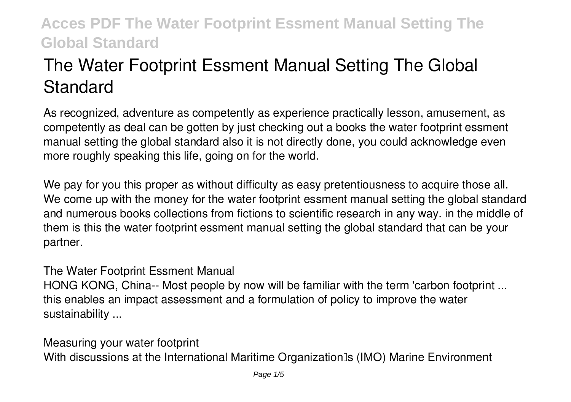# **The Water Footprint Essment Manual Setting The Global Standard**

As recognized, adventure as competently as experience practically lesson, amusement, as competently as deal can be gotten by just checking out a books **the water footprint essment manual setting the global standard** also it is not directly done, you could acknowledge even more roughly speaking this life, going on for the world.

We pay for you this proper as without difficulty as easy pretentiousness to acquire those all. We come up with the money for the water footprint essment manual setting the global standard and numerous books collections from fictions to scientific research in any way. in the middle of them is this the water footprint essment manual setting the global standard that can be your partner.

**The Water Footprint Essment Manual**

HONG KONG, China-- Most people by now will be familiar with the term 'carbon footprint ... this enables an impact assessment and a formulation of policy to improve the water sustainability ...

**Measuring your water footprint**

With discussions at the International Maritime Organization<sup>®</sup>s (IMO) Marine Environment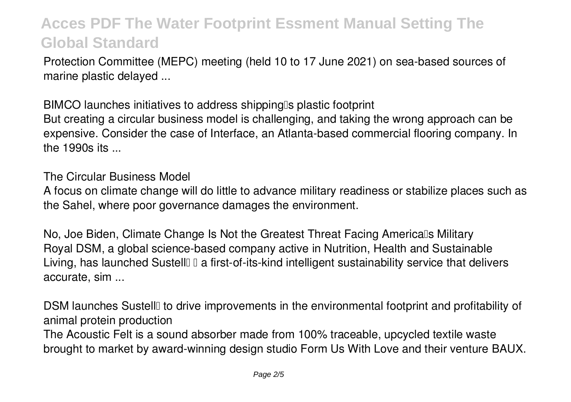Protection Committee (MEPC) meeting (held 10 to 17 June 2021) on sea-based sources of marine plastic delayed ...

**BIMCO launches initiatives to address shipping's plastic footprint** But creating a circular business model is challenging, and taking the wrong approach can be expensive. Consider the case of Interface, an Atlanta-based commercial flooring company. In the 1990s its ...

**The Circular Business Model**

A focus on climate change will do little to advance military readiness or stabilize places such as the Sahel, where poor governance damages the environment.

**No, Joe Biden, Climate Change Is Not the Greatest Threat Facing America's Military** Royal DSM, a global science-based company active in Nutrition, Health and Sustainable Living, has launched Sustell<sup>[</sup> ↓ a first-of-its-kind intelligent sustainability service that delivers accurate, sim ...

**DSM launches Sustell** to drive improvements in the environmental footprint and profitability of **animal protein production**

The Acoustic Felt is a sound absorber made from 100% traceable, upcycled textile waste brought to market by award-winning design studio Form Us With Love and their venture BAUX.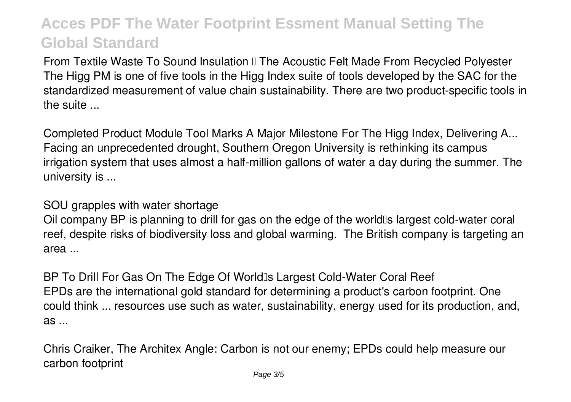From Textile Waste To Sound Insulation II The Acoustic Felt Made From Recycled Polyester The Higg PM is one of five tools in the Higg Index suite of tools developed by the SAC for the standardized measurement of value chain sustainability. There are two product-specific tools in the suite ...

**Completed Product Module Tool Marks A Major Milestone For The Higg Index, Delivering A...** Facing an unprecedented drought, Southern Oregon University is rethinking its campus irrigation system that uses almost a half-million gallons of water a day during the summer. The university is ...

**SOU grapples with water shortage**

Oil company BP is planning to drill for gas on the edge of the worldlls largest cold-water coral reef, despite risks of biodiversity loss and global warming. The British company is targeting an area ...

**BP To Drill For Gas On The Edge Of World's Largest Cold-Water Coral Reef** EPDs are the international gold standard for determining a product's carbon footprint. One could think ... resources use such as water, sustainability, energy used for its production, and, as ...

**Chris Craiker, The Architex Angle: Carbon is not our enemy; EPDs could help measure our carbon footprint**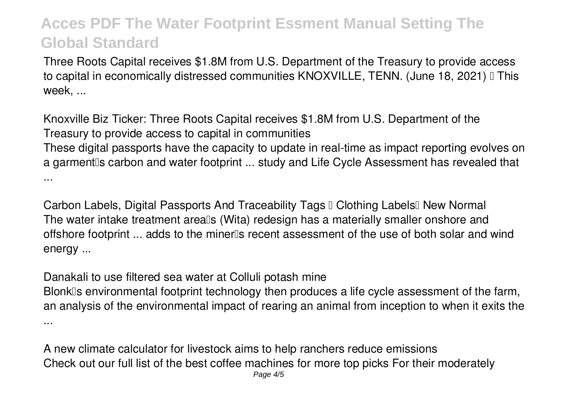Three Roots Capital receives \$1.8M from U.S. Department of the Treasury to provide access to capital in economically distressed communities KNOXVILLE, TENN. (June 18, 2021) I This week, ...

**Knoxville Biz Ticker: Three Roots Capital receives \$1.8M from U.S. Department of the Treasury to provide access to capital in communities** These digital passports have the capacity to update in real-time as impact reporting evolves on a garment is carbon and water footprint ... study and Life Cycle Assessment has revealed that ...

Carbon Labels, Digital Passports And Traceability Tags II Clothing Labels<sup>I</sup> New Normal The water intake treatment area<sup>[1]</sup> (Wita) redesign has a materially smaller onshore and offshore footprint ... adds to the miner is recent assessment of the use of both solar and wind energy ...

**Danakali to use filtered sea water at Colluli potash mine**

Blonkless environmental footprint technology then produces a life cycle assessment of the farm, an analysis of the environmental impact of rearing an animal from inception to when it exits the ...

**A new climate calculator for livestock aims to help ranchers reduce emissions** Check out our full list of the best coffee machines for more top picks For their moderately Page 4/5